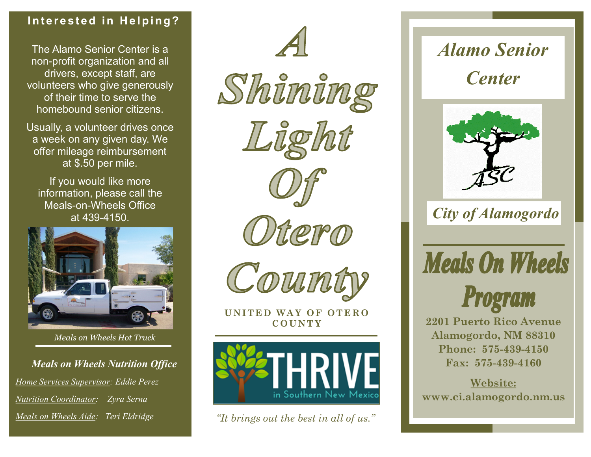### **Interested in Helping?**

The Alamo Senior Center is a non-profit organization and all drivers, except staff, are volunteers who give generously of their time to serve the homebound senior citizens.

Usually, a volunteer drives once a week on any given day. We offer mileage reimbursement at \$.50 per mile.

If you would like more information, please call the Meals-on-Wheels Office at 439-4150.



*Meals on Wheels Hot Truck*

*Meals on Wheels Nutrition Office Home Services Supervisor: Eddie Perez Nutrition Coordinator: Zyra Serna Meals on Wheels Aide: Teri Eldridge*









Orero



**UNITED WAY OF OTERO** 



*"It brings out the best in all of us."*

*Alamo Senior Center*



*City of Alamogordo*

**Meals On Wheels** 



**C O U N T Y 2201 Puerto Rico Avenue Alamogordo, NM 88310 Phone: 575-439-4150 Fax: 575-439-4160**

> **Website: www.ci.alamogordo.nm.us**